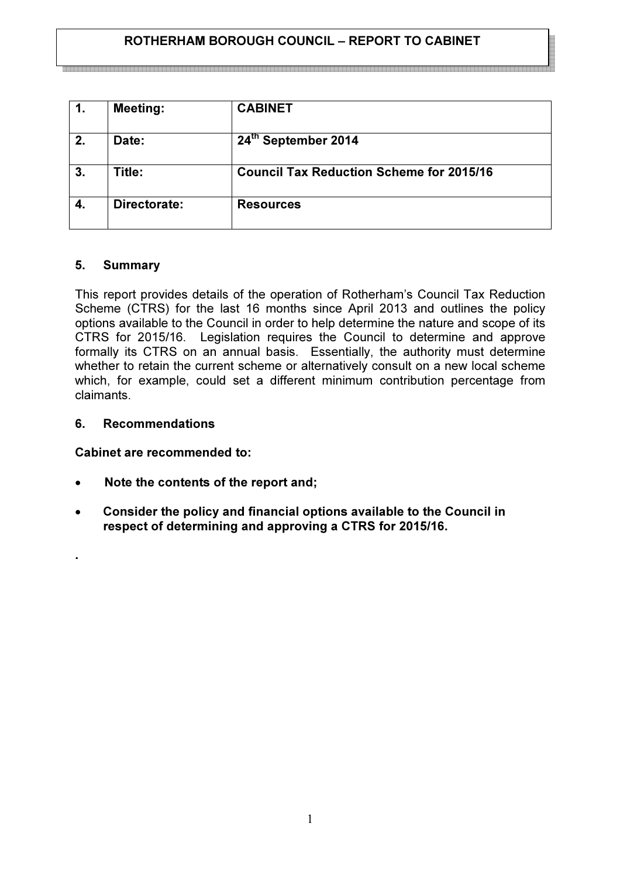# ROTHERHAM BOROUGH COUNCIL – REPORT TO CABINET

| 1. | <b>Meeting:</b> | <b>CABINET</b>                                  |
|----|-----------------|-------------------------------------------------|
| 2. | Date:           | 24th September 2014                             |
| 3. | Title:          | <b>Council Tax Reduction Scheme for 2015/16</b> |
|    | Directorate:    | <b>Resources</b>                                |

### 5. Summary

This report provides details of the operation of Rotherham's Council Tax Reduction Scheme (CTRS) for the last 16 months since April 2013 and outlines the policy options available to the Council in order to help determine the nature and scope of its CTRS for 2015/16. Legislation requires the Council to determine and approve formally its CTRS on an annual basis. Essentially, the authority must determine whether to retain the current scheme or alternatively consult on a new local scheme which, for example, could set a different minimum contribution percentage from claimants.

#### 6. Recommendations

.

Cabinet are recommended to:

- Note the contents of the report and;
- Consider the policy and financial options available to the Council in respect of determining and approving a CTRS for 2015/16.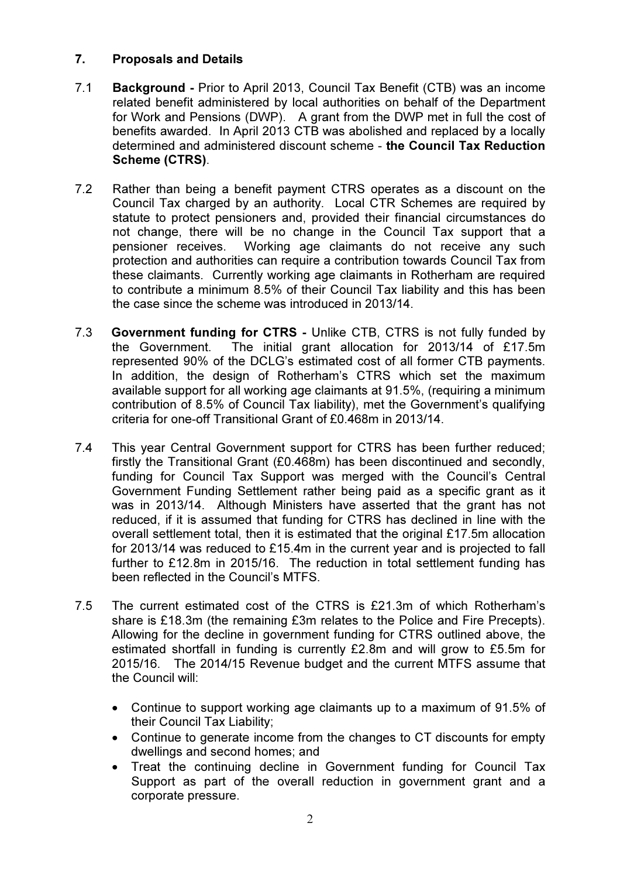# 7. Proposals and Details

- 7.1 Background Prior to April 2013, Council Tax Benefit (CTB) was an income related benefit administered by local authorities on behalf of the Department for Work and Pensions (DWP). A grant from the DWP met in full the cost of benefits awarded. In April 2013 CTB was abolished and replaced by a locally determined and administered discount scheme - the Council Tax Reduction Scheme (CTRS).
- 7.2 Rather than being a benefit payment CTRS operates as a discount on the Council Tax charged by an authority. Local CTR Schemes are required by statute to protect pensioners and, provided their financial circumstances do not change, there will be no change in the Council Tax support that a pensioner receives. Working age claimants do not receive any such protection and authorities can require a contribution towards Council Tax from these claimants. Currently working age claimants in Rotherham are required to contribute a minimum 8.5% of their Council Tax liability and this has been the case since the scheme was introduced in 2013/14.
- 7.3 Government funding for CTRS Unlike CTB, CTRS is not fully funded by the Government. The initial grant allocation for 2013/14 of £17.5m represented 90% of the DCLG's estimated cost of all former CTB payments. In addition, the design of Rotherham's CTRS which set the maximum available support for all working age claimants at 91.5%, (requiring a minimum contribution of 8.5% of Council Tax liability), met the Government's qualifying criteria for one-off Transitional Grant of £0.468m in 2013/14.
- 7.4 This year Central Government support for CTRS has been further reduced; firstly the Transitional Grant (£0.468m) has been discontinued and secondly, funding for Council Tax Support was merged with the Council's Central Government Funding Settlement rather being paid as a specific grant as it was in 2013/14. Although Ministers have asserted that the grant has not reduced, if it is assumed that funding for CTRS has declined in line with the overall settlement total, then it is estimated that the original  $£17.5m$  allocation for 2013/14 was reduced to £15.4m in the current year and is projected to fall further to £12.8m in 2015/16. The reduction in total settlement funding has been reflected in the Council's MTFS.
- 7.5 The current estimated cost of the CTRS is £21.3m of which Rotherham's share is £18.3m (the remaining £3m relates to the Police and Fire Precepts). Allowing for the decline in government funding for CTRS outlined above, the estimated shortfall in funding is currently £2.8m and will grow to £5.5m for 2015/16. The 2014/15 Revenue budget and the current MTFS assume that the Council will:
	- Continue to support working age claimants up to a maximum of 91.5% of their Council Tax Liability;
	- Continue to generate income from the changes to CT discounts for empty dwellings and second homes; and
	- Treat the continuing decline in Government funding for Council Tax Support as part of the overall reduction in government grant and a corporate pressure.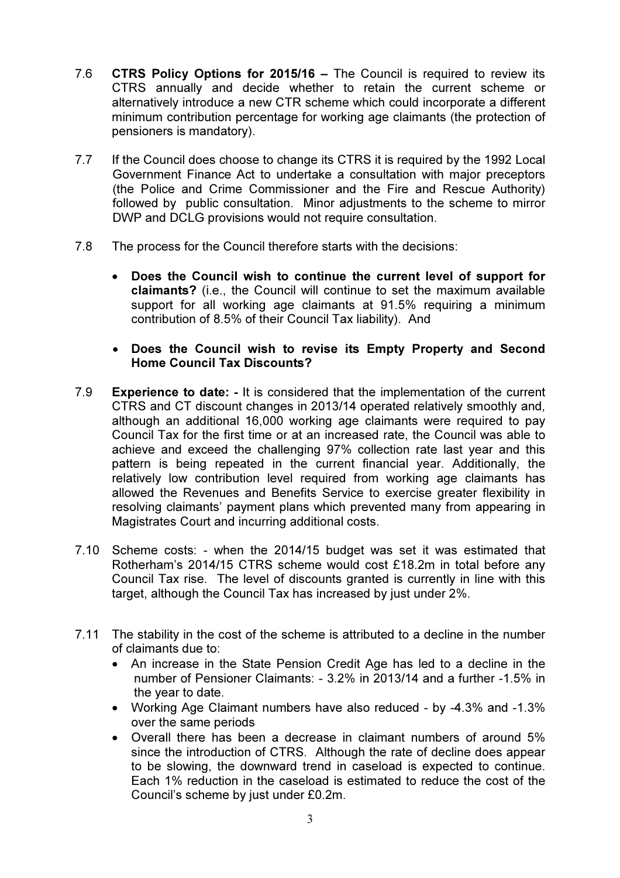- 7.6 CTRS Policy Options for 2015/16 The Council is required to review its CTRS annually and decide whether to retain the current scheme or alternatively introduce a new CTR scheme which could incorporate a different minimum contribution percentage for working age claimants (the protection of pensioners is mandatory).
- 7.7 If the Council does choose to change its CTRS it is required by the 1992 Local Government Finance Act to undertake a consultation with major preceptors (the Police and Crime Commissioner and the Fire and Rescue Authority) followed by public consultation. Minor adjustments to the scheme to mirror DWP and DCLG provisions would not require consultation.
- 7.8 The process for the Council therefore starts with the decisions:
	- Does the Council wish to continue the current level of support for claimants? (i.e., the Council will continue to set the maximum available support for all working age claimants at 91.5% requiring a minimum contribution of 8.5% of their Council Tax liability). And
	- Does the Council wish to revise its Empty Property and Second Home Council Tax Discounts?
- 7.9 Experience to date: It is considered that the implementation of the current CTRS and CT discount changes in 2013/14 operated relatively smoothly and, although an additional 16,000 working age claimants were required to pay Council Tax for the first time or at an increased rate, the Council was able to achieve and exceed the challenging 97% collection rate last year and this pattern is being repeated in the current financial year. Additionally, the relatively low contribution level required from working age claimants has allowed the Revenues and Benefits Service to exercise greater flexibility in resolving claimants' payment plans which prevented many from appearing in Magistrates Court and incurring additional costs.
- 7.10 Scheme costs: when the 2014/15 budget was set it was estimated that Rotherham's 2014/15 CTRS scheme would cost £18.2m in total before any Council Tax rise. The level of discounts granted is currently in line with this target, although the Council Tax has increased by just under 2%.
- 7.11 The stability in the cost of the scheme is attributed to a decline in the number of claimants due to:
	- An increase in the State Pension Credit Age has led to a decline in the number of Pensioner Claimants: - 3.2% in 2013/14 and a further -1.5% in the year to date.
	- Working Age Claimant numbers have also reduced by -4.3% and -1.3% over the same periods
	- Overall there has been a decrease in claimant numbers of around 5% since the introduction of CTRS. Although the rate of decline does appear to be slowing, the downward trend in caseload is expected to continue. Each 1% reduction in the caseload is estimated to reduce the cost of the Council's scheme by just under £0.2m.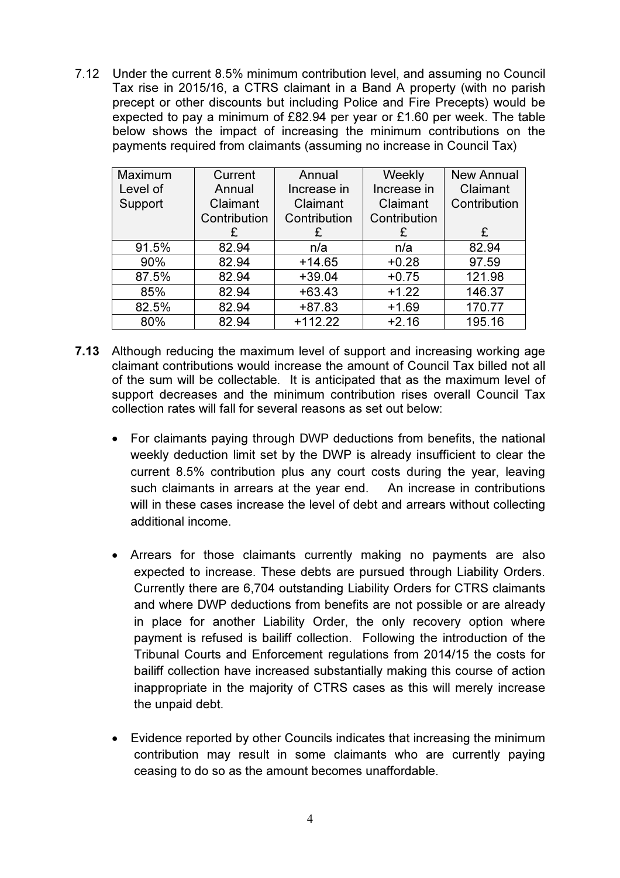7.12 Under the current 8.5% minimum contribution level, and assuming no Council Tax rise in 2015/16, a CTRS claimant in a Band A property (with no parish precept or other discounts but including Police and Fire Precepts) would be expected to pay a minimum of £82.94 per year or £1.60 per week. The table below shows the impact of increasing the minimum contributions on the payments required from claimants (assuming no increase in Council Tax)

| Maximum  | Current      | Annual       | Weekly       | <b>New Annual</b> |
|----------|--------------|--------------|--------------|-------------------|
| Level of | Annual       | Increase in  | Increase in  | Claimant          |
| Support  | Claimant     | Claimant     | Claimant     | Contribution      |
|          | Contribution | Contribution | Contribution |                   |
|          | £            | £            | £            | £                 |
| 91.5%    | 82.94        | n/a          | n/a          | 82.94             |
| 90%      | 82.94        | $+14.65$     | $+0.28$      | 97.59             |
| 87.5%    | 82.94        | $+39.04$     | $+0.75$      | 121.98            |
| 85%      | 82.94        | $+63.43$     | $+1.22$      | 146.37            |
| 82.5%    | 82.94        | $+87.83$     | $+1.69$      | 170.77            |
| 80%      | 82.94        | $+112.22$    | $+2.16$      | 195.16            |

- 7.13 Although reducing the maximum level of support and increasing working age claimant contributions would increase the amount of Council Tax billed not all of the sum will be collectable. It is anticipated that as the maximum level of support decreases and the minimum contribution rises overall Council Tax collection rates will fall for several reasons as set out below:
	- For claimants paying through DWP deductions from benefits, the national weekly deduction limit set by the DWP is already insufficient to clear the current 8.5% contribution plus any court costs during the year, leaving such claimants in arrears at the year end. An increase in contributions will in these cases increase the level of debt and arrears without collecting additional income.
	- Arrears for those claimants currently making no payments are also expected to increase. These debts are pursued through Liability Orders. Currently there are 6,704 outstanding Liability Orders for CTRS claimants and where DWP deductions from benefits are not possible or are already in place for another Liability Order, the only recovery option where payment is refused is bailiff collection. Following the introduction of the Tribunal Courts and Enforcement regulations from 2014/15 the costs for bailiff collection have increased substantially making this course of action inappropriate in the majority of CTRS cases as this will merely increase the unpaid debt.
	- Evidence reported by other Councils indicates that increasing the minimum contribution may result in some claimants who are currently paying ceasing to do so as the amount becomes unaffordable.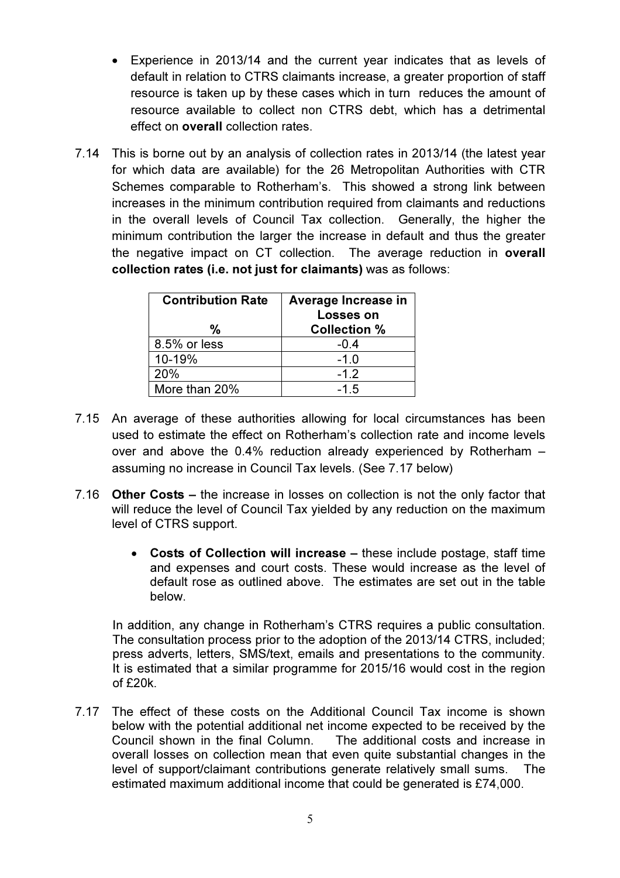- Experience in 2013/14 and the current year indicates that as levels of default in relation to CTRS claimants increase, a greater proportion of staff resource is taken up by these cases which in turn reduces the amount of resource available to collect non CTRS debt, which has a detrimental effect on overall collection rates.
- 7.14 This is borne out by an analysis of collection rates in 2013/14 (the latest year for which data are available) for the 26 Metropolitan Authorities with CTR Schemes comparable to Rotherham's. This showed a strong link between increases in the minimum contribution required from claimants and reductions in the overall levels of Council Tax collection. Generally, the higher the minimum contribution the larger the increase in default and thus the greater the negative impact on CT collection. The average reduction in overall collection rates (i.e. not just for claimants) was as follows:

| <b>Contribution Rate</b> | Average Increase in<br><b>Losses on</b> |  |
|--------------------------|-----------------------------------------|--|
| %                        | <b>Collection %</b>                     |  |
| 8.5% or less             | $-0.4$                                  |  |
| 10-19%                   | $-1.0$                                  |  |
| 20%                      | $-1.2$                                  |  |
| More than 20%            | $-1.5$                                  |  |

- 7.15 An average of these authorities allowing for local circumstances has been used to estimate the effect on Rotherham's collection rate and income levels over and above the 0.4% reduction already experienced by Rotherham – assuming no increase in Council Tax levels. (See 7.17 below)
- 7.16 Other Costs the increase in losses on collection is not the only factor that will reduce the level of Council Tax yielded by any reduction on the maximum level of CTRS support.
	- Costs of Collection will increase these include postage, staff time and expenses and court costs. These would increase as the level of default rose as outlined above. The estimates are set out in the table below.

In addition, any change in Rotherham's CTRS requires a public consultation. The consultation process prior to the adoption of the 2013/14 CTRS, included; press adverts, letters, SMS/text, emails and presentations to the community. It is estimated that a similar programme for 2015/16 would cost in the region of £20k.

7.17 The effect of these costs on the Additional Council Tax income is shown below with the potential additional net income expected to be received by the Council shown in the final Column. The additional costs and increase in overall losses on collection mean that even quite substantial changes in the level of support/claimant contributions generate relatively small sums. The estimated maximum additional income that could be generated is £74,000.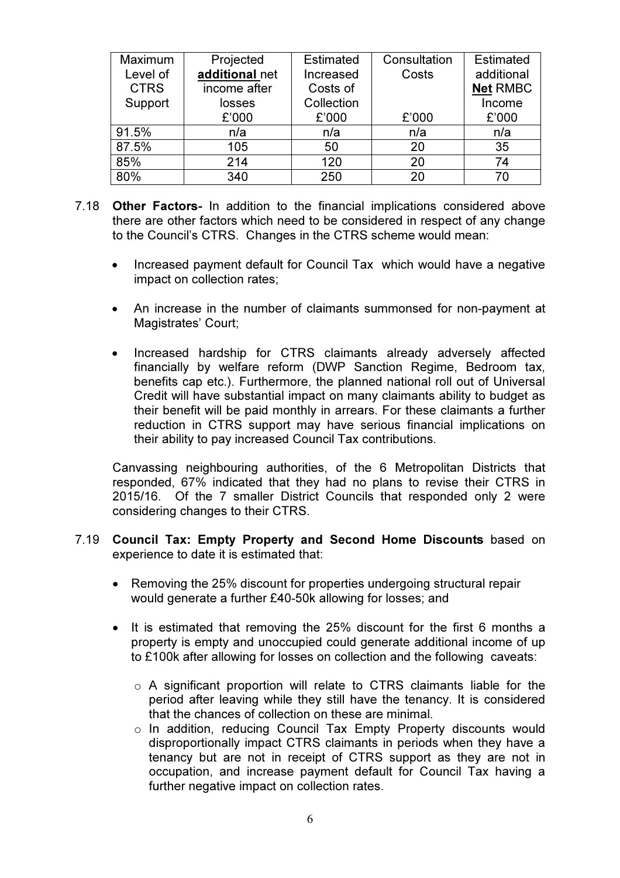| Maximum     | Projected      | Estimated  | Consultation | Estimated       |
|-------------|----------------|------------|--------------|-----------------|
| Level of    | additional net | Increased  | Costs        | additional      |
| <b>CTRS</b> | income after   | Costs of   |              | <b>Net RMBC</b> |
| Support     | losses         | Collection |              | Income          |
|             | £'000          | £'000      | £'000        | £'000           |
| 91.5%       | n/a            | n/a        | n/a          | n/a             |
| 87.5%       | 105            | 50         | 20           | 35              |
| 85%         | 214            | 120        | 20           | 74              |
| 80%         | 340            | 250        | 20           | 70              |

- 7.18 Other Factors- In addition to the financial implications considered above there are other factors which need to be considered in respect of any change to the Council's CTRS. Changes in the CTRS scheme would mean:
	- Increased payment default for Council Tax which would have a negative impact on collection rates;
	- An increase in the number of claimants summonsed for non-payment at Magistrates' Court;
	- Increased hardship for CTRS claimants already adversely affected financially by welfare reform (DWP Sanction Regime, Bedroom tax, benefits cap etc.). Furthermore, the planned national roll out of Universal Credit will have substantial impact on many claimants ability to budget as their benefit will be paid monthly in arrears. For these claimants a further reduction in CTRS support may have serious financial implications on their ability to pay increased Council Tax contributions.

Canvassing neighbouring authorities, of the 6 Metropolitan Districts that responded, 67% indicated that they had no plans to revise their CTRS in 2015/16. Of the 7 smaller District Councils that responded only 2 were considering changes to their CTRS.

- 7.19 Council Tax: Empty Property and Second Home Discounts based on experience to date it is estimated that:
	- Removing the 25% discount for properties undergoing structural repair would generate a further £40-50k allowing for losses; and
	- It is estimated that removing the 25% discount for the first 6 months a property is empty and unoccupied could generate additional income of up to £100k after allowing for losses on collection and the following caveats:
		- o A significant proportion will relate to CTRS claimants liable for the period after leaving while they still have the tenancy. It is considered that the chances of collection on these are minimal.
		- o In addition, reducing Council Tax Empty Property discounts would disproportionally impact CTRS claimants in periods when they have a tenancy but are not in receipt of CTRS support as they are not in occupation, and increase payment default for Council Tax having a further negative impact on collection rates.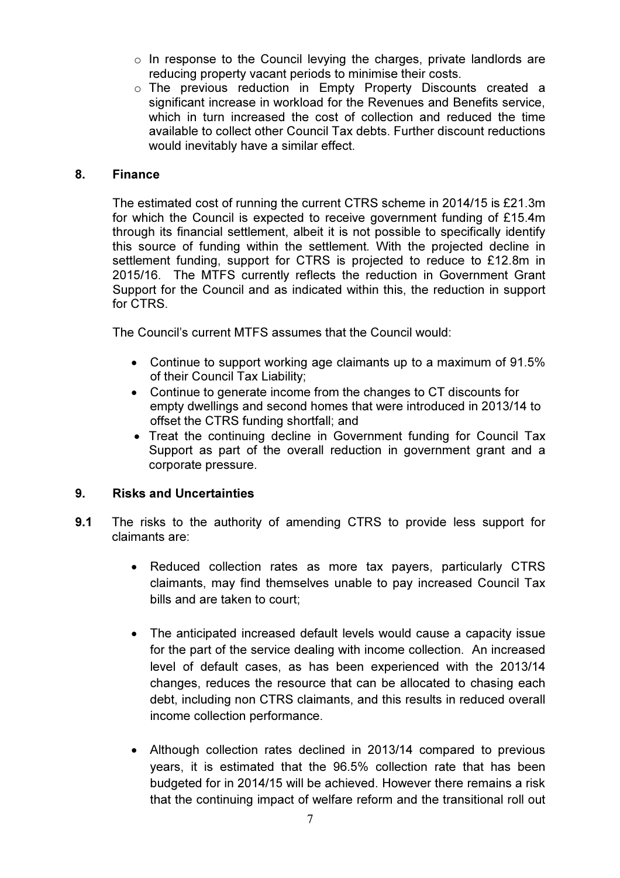- $\circ$  In response to the Council levying the charges, private landlords are reducing property vacant periods to minimise their costs.
- o The previous reduction in Empty Property Discounts created a significant increase in workload for the Revenues and Benefits service, which in turn increased the cost of collection and reduced the time available to collect other Council Tax debts. Further discount reductions would inevitably have a similar effect.

#### 8. Finance

The estimated cost of running the current CTRS scheme in 2014/15 is £21.3m for which the Council is expected to receive government funding of £15.4m through its financial settlement, albeit it is not possible to specifically identify this source of funding within the settlement. With the projected decline in settlement funding, support for CTRS is projected to reduce to £12.8m in 2015/16. The MTFS currently reflects the reduction in Government Grant Support for the Council and as indicated within this, the reduction in support for CTRS.

The Council's current MTFS assumes that the Council would:

- Continue to support working age claimants up to a maximum of 91.5% of their Council Tax Liability;
- Continue to generate income from the changes to CT discounts for empty dwellings and second homes that were introduced in 2013/14 to offset the CTRS funding shortfall; and
- Treat the continuing decline in Government funding for Council Tax Support as part of the overall reduction in government grant and a corporate pressure.

# 9. Risks and Uncertainties

- 9.1 The risks to the authority of amending CTRS to provide less support for claimants are:
	- Reduced collection rates as more tax payers, particularly CTRS claimants, may find themselves unable to pay increased Council Tax bills and are taken to court;
	- The anticipated increased default levels would cause a capacity issue for the part of the service dealing with income collection. An increased level of default cases, as has been experienced with the 2013/14 changes, reduces the resource that can be allocated to chasing each debt, including non CTRS claimants, and this results in reduced overall income collection performance.
	- Although collection rates declined in 2013/14 compared to previous years, it is estimated that the 96.5% collection rate that has been budgeted for in 2014/15 will be achieved. However there remains a risk that the continuing impact of welfare reform and the transitional roll out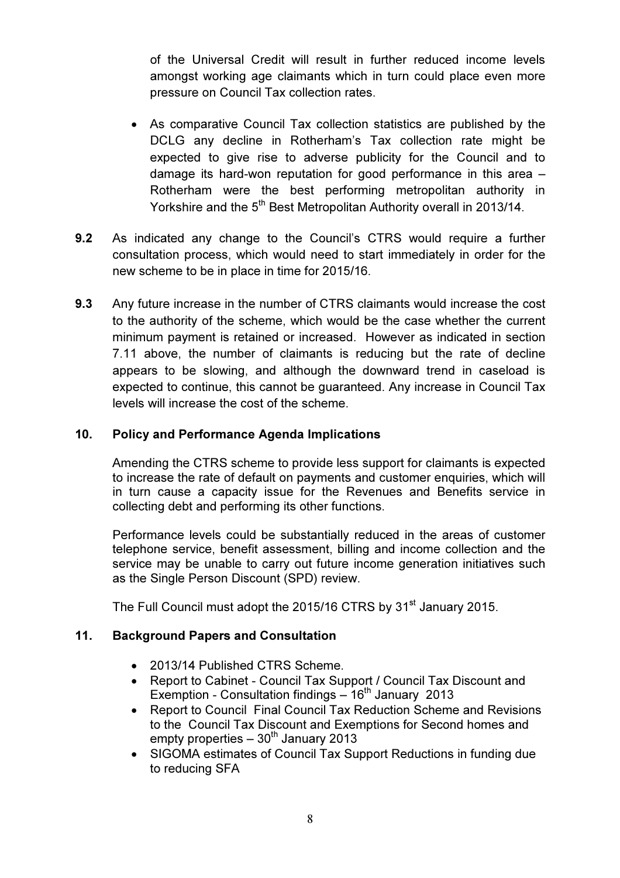of the Universal Credit will result in further reduced income levels amongst working age claimants which in turn could place even more pressure on Council Tax collection rates.

- As comparative Council Tax collection statistics are published by the DCLG any decline in Rotherham's Tax collection rate might be expected to give rise to adverse publicity for the Council and to damage its hard-won reputation for good performance in this area – Rotherham were the best performing metropolitan authority in Yorkshire and the 5<sup>th</sup> Best Metropolitan Authority overall in 2013/14.
- 9.2 As indicated any change to the Council's CTRS would require a further consultation process, which would need to start immediately in order for the new scheme to be in place in time for 2015/16.
- 9.3 Any future increase in the number of CTRS claimants would increase the cost to the authority of the scheme, which would be the case whether the current minimum payment is retained or increased. However as indicated in section 7.11 above, the number of claimants is reducing but the rate of decline appears to be slowing, and although the downward trend in caseload is expected to continue, this cannot be guaranteed. Any increase in Council Tax levels will increase the cost of the scheme.

### 10. Policy and Performance Agenda Implications

Amending the CTRS scheme to provide less support for claimants is expected to increase the rate of default on payments and customer enquiries, which will in turn cause a capacity issue for the Revenues and Benefits service in collecting debt and performing its other functions.

Performance levels could be substantially reduced in the areas of customer telephone service, benefit assessment, billing and income collection and the service may be unable to carry out future income generation initiatives such as the Single Person Discount (SPD) review.

The Full Council must adopt the 2015/16 CTRS by 31<sup>st</sup> January 2015.

#### 11. Background Papers and Consultation

- 2013/14 Published CTRS Scheme.
- Report to Cabinet Council Tax Support / Council Tax Discount and Exemption - Consultation findings  $-16<sup>th</sup>$  January 2013
- Report to Council Final Council Tax Reduction Scheme and Revisions to the Council Tax Discount and Exemptions for Second homes and empty properties  $-30<sup>th</sup>$  January 2013
- SIGOMA estimates of Council Tax Support Reductions in funding due to reducing SFA